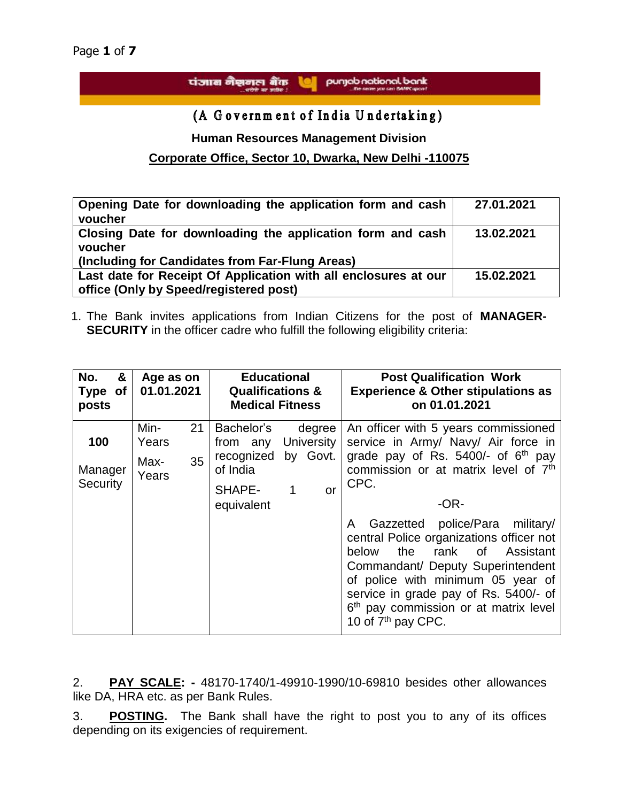punjab national bank पंजाब नैशनल बैंक u

(A Government of India Undertaking)

**Human Resources Management Division**

# **Corporate Office, Sector 10, Dwarka, New Delhi -110075**

| Opening Date for downloading the application form and cash<br>voucher                                                    | 27.01.2021 |
|--------------------------------------------------------------------------------------------------------------------------|------------|
| Closing Date for downloading the application form and cash<br>voucher<br>(Including for Candidates from Far-Flung Areas) | 13.02.2021 |
| Last date for Receipt Of Application with all enclosures at our<br>office (Only by Speed/registered post)                | 15.02.2021 |

1. The Bank invites applications from Indian Citizens for the post of **MANAGER-SECURITY** in the officer cadre who fulfill the following eligibility criteria:

| &<br>No.<br>Type of<br>posts      | Age as on<br>01.01.2021                    | <b>Educational</b><br><b>Qualifications &amp;</b><br><b>Medical Fitness</b>                                                               | <b>Post Qualification Work</b><br><b>Experience &amp; Other stipulations as</b><br>on 01.01.2021                                                                                                                                                                                                                                                                                                                                                                                                                           |
|-----------------------------------|--------------------------------------------|-------------------------------------------------------------------------------------------------------------------------------------------|----------------------------------------------------------------------------------------------------------------------------------------------------------------------------------------------------------------------------------------------------------------------------------------------------------------------------------------------------------------------------------------------------------------------------------------------------------------------------------------------------------------------------|
| 100<br>Manager<br><b>Security</b> | Min-<br>21<br>Years<br>35<br>Max-<br>Years | Bachelor's<br>degree<br>University<br>from any<br>by Govt.<br>recognized<br>of India<br>SHAPE-<br>$\mathbf 1$<br>$\alpha$ r<br>equivalent | An officer with 5 years commissioned<br>service in Army/ Navy/ Air force in<br>grade pay of Rs. 5400/- of 6 <sup>th</sup> pay<br>commission or at matrix level of 7th<br>CPC.<br>$-OR-$<br>Gazzetted police/Para military/<br>A<br>central Police organizations officer not<br>the rank of<br>below<br>Assistant<br>Commandant/ Deputy Superintendent<br>of police with minimum 05 year of<br>service in grade pay of Rs. 5400/- of<br>6 <sup>th</sup> pay commission or at matrix level<br>10 of 7 <sup>th</sup> pay CPC. |

2. **PAY SCALE: -** 48170-1740/1-49910-1990/10-69810 besides other allowances like DA, HRA etc. as per Bank Rules.

3. **POSTING.** The Bank shall have the right to post you to any of its offices depending on its exigencies of requirement.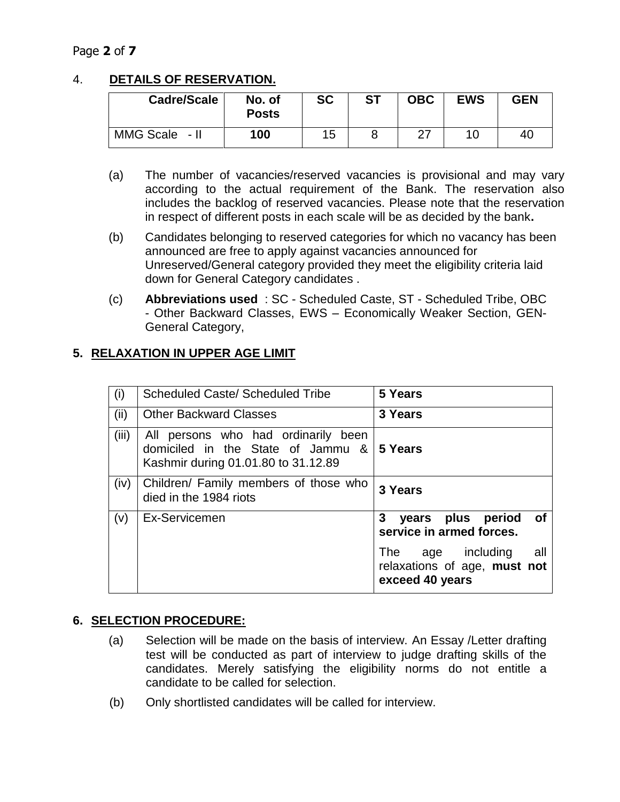## Page **2** of **7**

# 4. **DETAILS OF RESERVATION.**

| Cadre/Scale    | No. of<br><b>Posts</b> | <b>SC</b> | <b>ST</b> | <b>OBC</b> | <b>EWS</b> | <b>GEN</b> |
|----------------|------------------------|-----------|-----------|------------|------------|------------|
| MMG Scale - II | 100                    | 15        |           |            |            | 40         |

- (a) The number of vacancies/reserved vacancies is provisional and may vary according to the actual requirement of the Bank. The reservation also includes the backlog of reserved vacancies. Please note that the reservation in respect of different posts in each scale will be as decided by the bank**.**
- (b) Candidates belonging to reserved categories for which no vacancy has been announced are free to apply against vacancies announced for Unreserved/General category provided they meet the eligibility criteria laid down for General Category candidates .
- (c) **Abbreviations used** : SC Scheduled Caste, ST Scheduled Tribe, OBC - Other Backward Classes, EWS – Economically Weaker Section, GEN-General Category,

### **5. RELAXATION IN UPPER AGE LIMIT**

| (i)   | Scheduled Caste/ Scheduled Tribe                                                                                | 5 Years                                                                               |
|-------|-----------------------------------------------------------------------------------------------------------------|---------------------------------------------------------------------------------------|
| (ii)  | <b>Other Backward Classes</b>                                                                                   | 3 Years                                                                               |
| (iii) | All persons who had ordinarily been<br>domiciled in the State of Jammu &<br>Kashmir during 01.01.80 to 31.12.89 | 5 Years                                                                               |
| (iv)  | Children/ Family members of those who<br>died in the 1984 riots                                                 | 3 Years                                                                               |
| (v)   | Ex-Servicemen                                                                                                   | 3 years plus period<br>of<br>service in armed forces.                                 |
|       |                                                                                                                 | age including<br>all<br><b>The</b><br>relaxations of age, must not<br>exceed 40 years |

### **6. SELECTION PROCEDURE:**

- (a) Selection will be made on the basis of interview. An Essay /Letter drafting test will be conducted as part of interview to judge drafting skills of the candidates. Merely satisfying the eligibility norms do not entitle a candidate to be called for selection.
- (b) Only shortlisted candidates will be called for interview.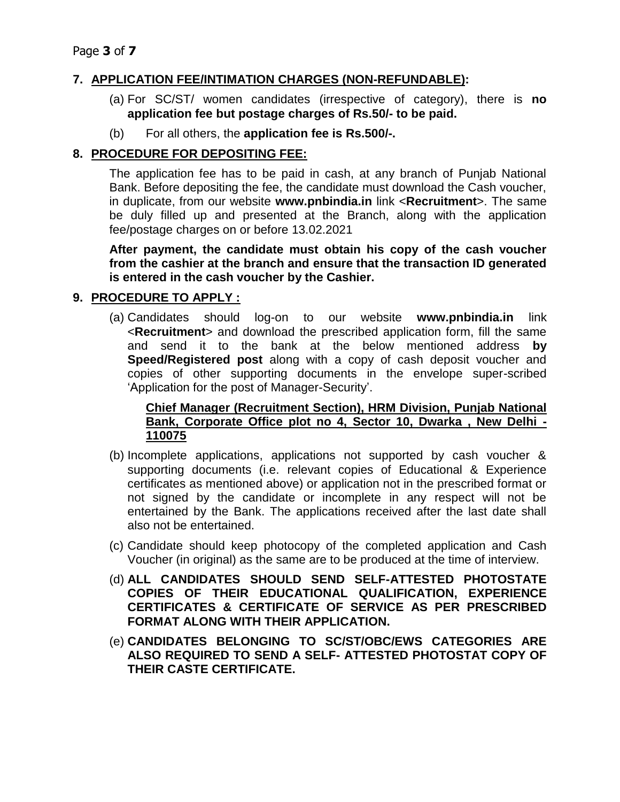## **7. APPLICATION FEE/INTIMATION CHARGES (NON-REFUNDABLE):**

- (a) For SC/ST/ women candidates (irrespective of category), there is **no application fee but postage charges of Rs.50/- to be paid.**
- (b) For all others, the **application fee is Rs.500/-.**

## **8. PROCEDURE FOR DEPOSITING FEE:**

The application fee has to be paid in cash, at any branch of Punjab National Bank. Before depositing the fee, the candidate must download the Cash voucher, in duplicate, from our website **www.pnbindia.in** link <**Recruitment**>. The same be duly filled up and presented at the Branch, along with the application fee/postage charges on or before 13.02.2021

**After payment, the candidate must obtain his copy of the cash voucher from the cashier at the branch and ensure that the transaction ID generated is entered in the cash voucher by the Cashier.**

## **9. PROCEDURE TO APPLY :**

(a) Candidates should log-on to our website **www.pnbindia.in** link <**Recruitment**> and download the prescribed application form, fill the same and send it to the bank at the below mentioned address **by Speed/Registered post** along with a copy of cash deposit voucher and copies of other supporting documents in the envelope super-scribed 'Application for the post of Manager-Security'.

#### **Chief Manager (Recruitment Section), HRM Division, Punjab National Bank, Corporate Office plot no 4, Sector 10, Dwarka , New Delhi - 110075**

- (b) Incomplete applications, applications not supported by cash voucher & supporting documents (i.e. relevant copies of Educational & Experience certificates as mentioned above) or application not in the prescribed format or not signed by the candidate or incomplete in any respect will not be entertained by the Bank. The applications received after the last date shall also not be entertained.
- (c) Candidate should keep photocopy of the completed application and Cash Voucher (in original) as the same are to be produced at the time of interview.
- (d) **ALL CANDIDATES SHOULD SEND SELF-ATTESTED PHOTOSTATE COPIES OF THEIR EDUCATIONAL QUALIFICATION, EXPERIENCE CERTIFICATES & CERTIFICATE OF SERVICE AS PER PRESCRIBED FORMAT ALONG WITH THEIR APPLICATION.**
- (e) **CANDIDATES BELONGING TO SC/ST/OBC/EWS CATEGORIES ARE ALSO REQUIRED TO SEND A SELF- ATTESTED PHOTOSTAT COPY OF THEIR CASTE CERTIFICATE.**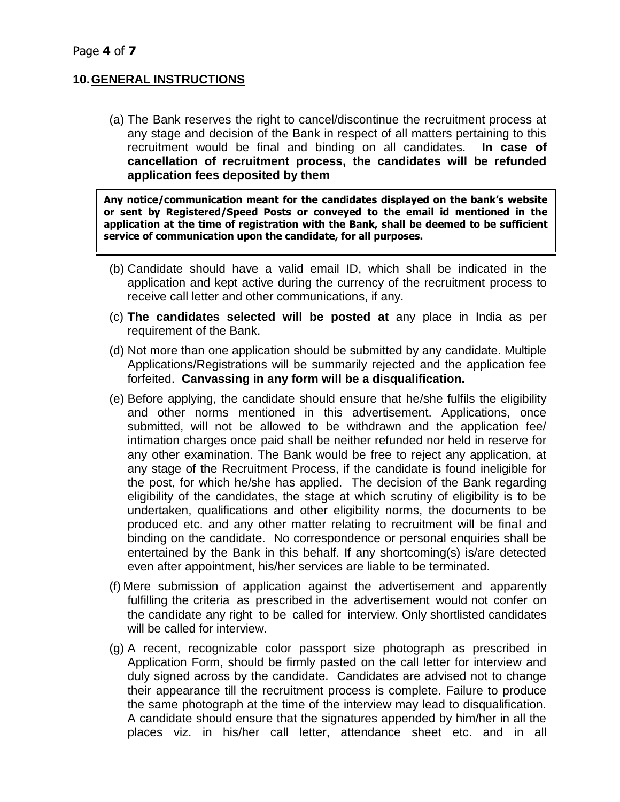### **10.GENERAL INSTRUCTIONS**

(a) The Bank reserves the right to cancel/discontinue the recruitment process at any stage and decision of the Bank in respect of all matters pertaining to this recruitment would be final and binding on all candidates. **In case of cancellation of recruitment process, the candidates will be refunded application fees deposited by them**

**Any notice/communication meant for the candidates displayed on the bank's website or sent by Registered/Speed Posts or conveyed to the email id mentioned in the application at the time of registration with the Bank, shall be deemed to be sufficient service of communication upon the candidate, for all purposes.**

- (b) Candidate should have a valid email ID, which shall be indicated in the application and kept active during the currency of the recruitment process to receive call letter and other communications, if any.
- (c) **The candidates selected will be posted at** any place in India as per requirement of the Bank.
- (d) Not more than one application should be submitted by any candidate. Multiple Applications/Registrations will be summarily rejected and the application fee forfeited. **Canvassing in any form will be a disqualification.**
- (e) Before applying, the candidate should ensure that he/she fulfils the eligibility and other norms mentioned in this advertisement. Applications, once submitted, will not be allowed to be withdrawn and the application fee/ intimation charges once paid shall be neither refunded nor held in reserve for any other examination. The Bank would be free to reject any application, at any stage of the Recruitment Process, if the candidate is found ineligible for the post, for which he/she has applied. The decision of the Bank regarding eligibility of the candidates, the stage at which scrutiny of eligibility is to be undertaken, qualifications and other eligibility norms, the documents to be produced etc. and any other matter relating to recruitment will be final and binding on the candidate. No correspondence or personal enquiries shall be entertained by the Bank in this behalf. If any shortcoming(s) is/are detected even after appointment, his/her services are liable to be terminated.
- (f) Mere submission of application against the advertisement and apparently fulfilling the criteria as prescribed in the advertisement would not confer on the candidate any right to be called for interview. Only shortlisted candidates will be called for interview.
- (g) A recent, recognizable color passport size photograph as prescribed in Application Form, should be firmly pasted on the call letter for interview and duly signed across by the candidate. Candidates are advised not to change their appearance till the recruitment process is complete. Failure to produce the same photograph at the time of the interview may lead to disqualification. A candidate should ensure that the signatures appended by him/her in all the places viz. in his/her call letter, attendance sheet etc. and in all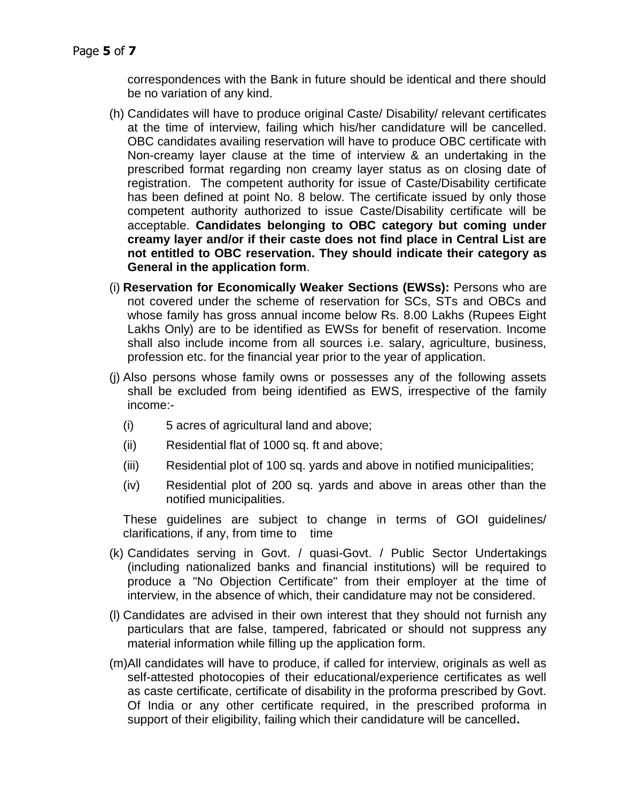correspondences with the Bank in future should be identical and there should be no variation of any kind.

- (h) Candidates will have to produce original Caste/ Disability/ relevant certificates at the time of interview, failing which his/her candidature will be cancelled. OBC candidates availing reservation will have to produce OBC certificate with Non-creamy layer clause at the time of interview & an undertaking in the prescribed format regarding non creamy layer status as on closing date of registration. The competent authority for issue of Caste/Disability certificate has been defined at point No. 8 below. The certificate issued by only those competent authority authorized to issue Caste/Disability certificate will be acceptable. **Candidates belonging to OBC category but coming under creamy layer and/or if their caste does not find place in Central List are not entitled to OBC reservation. They should indicate their category as General in the application form**.
- (i) **Reservation for Economically Weaker Sections (EWSs):** Persons who are not covered under the scheme of reservation for SCs, STs and OBCs and whose family has gross annual income below Rs. 8.00 Lakhs (Rupees Eight Lakhs Only) are to be identified as EWSs for benefit of reservation. Income shall also include income from all sources i.e. salary, agriculture, business, profession etc. for the financial year prior to the year of application.
- (j) Also persons whose family owns or possesses any of the following assets shall be excluded from being identified as EWS, irrespective of the family income:-
	- (i) 5 acres of agricultural land and above;
	- (ii) Residential flat of 1000 sq. ft and above;
	- (iii) Residential plot of 100 sq. yards and above in notified municipalities;
	- (iv) Residential plot of 200 sq. yards and above in areas other than the notified municipalities.

These guidelines are subject to change in terms of GOI guidelines/ clarifications, if any, from time to time

- (k) Candidates serving in Govt. / quasi-Govt. / Public Sector Undertakings (including nationalized banks and financial institutions) will be required to produce a "No Objection Certificate" from their employer at the time of interview, in the absence of which, their candidature may not be considered.
- (l) Candidates are advised in their own interest that they should not furnish any particulars that are false, tampered, fabricated or should not suppress any material information while filling up the application form.
- (m)All candidates will have to produce, if called for interview, originals as well as self-attested photocopies of their educational/experience certificates as well as caste certificate, certificate of disability in the proforma prescribed by Govt. Of India or any other certificate required, in the prescribed proforma in support of their eligibility, failing which their candidature will be cancelled**.**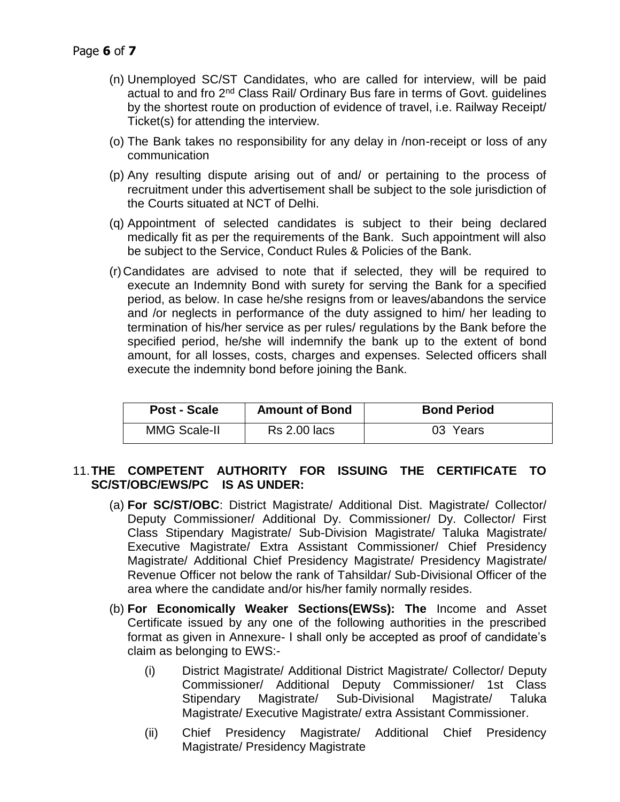- (n) Unemployed SC/ST Candidates, who are called for interview, will be paid actual to and fro 2<sup>nd</sup> Class Rail/ Ordinary Bus fare in terms of Govt. guidelines by the shortest route on production of evidence of travel, i.e. Railway Receipt/ Ticket(s) for attending the interview.
- (o) The Bank takes no responsibility for any delay in /non-receipt or loss of any communication
- (p) Any resulting dispute arising out of and/ or pertaining to the process of recruitment under this advertisement shall be subject to the sole jurisdiction of the Courts situated at NCT of Delhi.
- (q) Appointment of selected candidates is subject to their being declared medically fit as per the requirements of the Bank. Such appointment will also be subject to the Service, Conduct Rules & Policies of the Bank.
- (r) Candidates are advised to note that if selected, they will be required to execute an Indemnity Bond with surety for serving the Bank for a specified period, as below. In case he/she resigns from or leaves/abandons the service and /or neglects in performance of the duty assigned to him/ her leading to termination of his/her service as per rules/ regulations by the Bank before the specified period, he/she will indemnify the bank up to the extent of bond amount, for all losses, costs, charges and expenses. Selected officers shall execute the indemnity bond before joining the Bank.

| Post - Scale        | <b>Amount of Bond</b> | <b>Bond Period</b> |
|---------------------|-----------------------|--------------------|
| <b>MMG Scale-II</b> | <b>Rs 2.00 lacs</b>   | 03 Years           |

### 11.**THE COMPETENT AUTHORITY FOR ISSUING THE CERTIFICATE TO SC/ST/OBC/EWS/PC IS AS UNDER:**

- (a) **For SC/ST/OBC**: District Magistrate/ Additional Dist. Magistrate/ Collector/ Deputy Commissioner/ Additional Dy. Commissioner/ Dy. Collector/ First Class Stipendary Magistrate/ Sub-Division Magistrate/ Taluka Magistrate/ Executive Magistrate/ Extra Assistant Commissioner/ Chief Presidency Magistrate/ Additional Chief Presidency Magistrate/ Presidency Magistrate/ Revenue Officer not below the rank of Tahsildar/ Sub-Divisional Officer of the area where the candidate and/or his/her family normally resides.
- (b) **For Economically Weaker Sections(EWSs): The** Income and Asset Certificate issued by any one of the following authorities in the prescribed format as given in Annexure- I shall only be accepted as proof of candidate's claim as belonging to EWS:-
	- (i) District Magistrate/ Additional District Magistrate/ Collector/ Deputy Commissioner/ Additional Deputy Commissioner/ 1st Class Stipendary Magistrate/ Sub-Divisional Magistrate/ Taluka Magistrate/ Executive Magistrate/ extra Assistant Commissioner.
	- (ii) Chief Presidency Magistrate/ Additional Chief Presidency Magistrate/ Presidency Magistrate